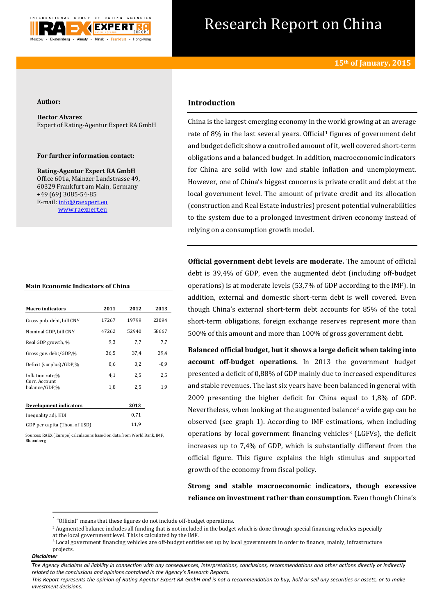

# Research Report on China

#### **Author:**

**Hector Alvarez** Expert of Rating-Agentur Expert RA GmbH

### **For further information contact:**

**Rating-Agentur Expert RA GmbH** Office 601a, Mainzer Landstrasse 49, 60329 Frankfurt am Main, Germany +49 (69) 3085-54-85 E-mail[: info@raexpert.eu](mailto:info@raexpert.eu) [www.raexpert.eu](http://raexpert.eu/)

#### **Main Economic Indicators of China**

| <b>Macro indicators</b>        | 2011  | 2012  | 2013   |
|--------------------------------|-------|-------|--------|
| Gross pub. debt, bill CNY      | 17267 | 19799 | 23094  |
| Nominal GDP, bill CNY          | 47262 | 52940 | 58667  |
| Real GDP growth, %             | 9,3   | 7,7   | 7,7    |
| Gross gov. debt/GDP,%          | 36,5  | 37.4  | 39,4   |
| Deficit (surplus)/GDP,%        | 0,6   | 0,2   | $-0.9$ |
| Inflation rate,%               | 4,1   | 2,5   | 2,5    |
| Curr. Account<br>balance/GDP,% | 1,8   | 2,5   | 1,9    |
| <b>Development indicators</b>  |       | 2013  |        |
| Inequality adj. HDI            |       | 0,71  |        |
| GDP per capita (Thou, of USD)  |       | 11,9  |        |

Sources: RAEX (Europe) calculations based on data from World Bank, IMF, Bloomberg

# **Introduction**

China is the largest emerging economy in the world growing at an average rate of  $8\%$  in the last several years. Official<sup>1</sup> figures of government debt and budget deficit show a controlled amount of it, well covered short-term obligations and a balanced budget. In addition, macroeconomic indicators for China are solid with low and stable inflation and unemployment. However, one of China's biggest concerns is private credit and debt at the local government level. The amount of private credit and its allocation (construction and Real Estate industries) present potential vulnerabilities to the system due to a prolonged investment driven economy instead of relying on a consumption growth model.

**Official government debt levels are moderate.** The amount of official debt is 39,4% of GDP, even the augmented debt (including off-budget operations) is at moderate levels (53,7% of GDP according to the IMF). In addition, external and domestic short-term debt is well covered. Even though China's external short-term debt accounts for 85% of the total short-term obligations, foreign exchange reserves represent more than 500% of this amount and more than 100% of gross government debt.

**Balanced official budget, but it shows a large deficit when taking into account off-budget operations.** In 2013 the government budget presented a deficit of 0,88% of GDP mainly due to increased expenditures and stable revenues. The last six years have been balanced in general with 2009 presenting the higher deficit for China equal to 1,8% of GDP. Nevertheless, when looking at the augmented balance<sup>2</sup> a wide gap can be observed (see graph 1). According to IMF estimations, when including operations by local government financing vehicles<sup>3</sup> (LGFVs), the deficit increases up to 7,4% of GDP, which is substantially different from the official figure. This figure explains the high stimulus and supported growth of the economy from fiscal policy.

**Strong and stable macroeconomic indicators, though excessive reliance on investment rather than consumption.** Even though China's

<sup>2</sup> Augmented balance includes all funding that is not included in the budget which is done through special financing vehicles especially at the local government level. This is calculated by the IMF.

**.** 

*This Report represents the opinion of Rating-Agentur Expert RA GmbH and is not a recommendation to buy, hold or sell any securities or assets, or to make investment decisions.*

 $1$  "Official" means that these figures do not include off-budget operations.

<sup>&</sup>lt;sup>3</sup> Local government financing vehicles are off-budget entities set up by local governments in order to finance, mainly, infrastructure projects.

*Disclaimer* 

*The Agency disclaims all liability in connection with any consequences, interpretations, conclusions, recommendations and other actions directly or indirectly related to the conclusions and opinions contained in the Agency's Research Reports.*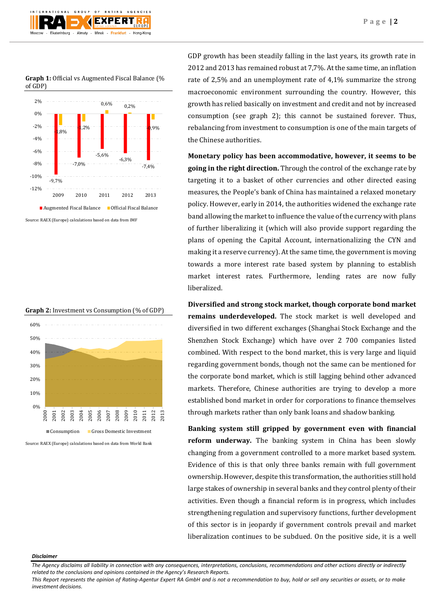

**Graph 1:** Official vs Augmented Fiscal Balance (% of GDP)







Source: RAEX (Europe) calculations based on data from World Bank

GDP growth has been steadily falling in the last years, its growth rate in 2012 and 2013 has remained robust at 7,7%. At the same time, an inflation rate of 2,5% and an unemployment rate of 4,1% summarize the strong macroeconomic environment surrounding the country. However, this growth has relied basically on investment and credit and not by increased consumption (see graph 2); this cannot be sustained forever. Thus, rebalancing from investment to consumption is one of the main targets of the Chinese authorities.

**Monetary policy has been accommodative, however, it seems to be going in the right direction.** Through the control of the exchange rate by targeting it to a basket of other currencies and other directed easing measures, the People's bank of China has maintained a relaxed monetary policy. However, early in 2014, the authorities widened the exchange rate band allowing the market to influence the value of the currency with plans of further liberalizing it (which will also provide support regarding the plans of opening the Capital Account, internationalizing the CYN and making it a reserve currency). At the same time, the government is moving towards a more interest rate based system by planning to establish market interest rates. Furthermore, lending rates are now fully liberalized.

**Diversified and strong stock market, though corporate bond market remains underdeveloped.** The stock market is well developed and diversified in two different exchanges (Shanghai Stock Exchange and the Shenzhen Stock Exchange) which have over 2 700 companies listed combined. With respect to the bond market, this is very large and liquid regarding government bonds, though not the same can be mentioned for the corporate bond market, which is still lagging behind other advanced markets. Therefore, Chinese authorities are trying to develop a more established bond market in order for corporations to finance themselves through markets rather than only bank loans and shadow banking.

**Banking system still gripped by government even with financial reform underway.** The banking system in China has been slowly changing from a government controlled to a more market based system. Evidence of this is that only three banks remain with full government ownership. However, despite this transformation, the authorities still hold large stakes of ownership in several banks and they control plenty of their activities. Even though a financial reform is in progress, which includes strengthening regulation and supervisory functions, further development of this sector is in jeopardy if government controls prevail and market liberalization continues to be subdued. On the positive side, it is a well

#### *Disclaimer*

*The Agency disclaims all liability in connection with any consequences, interpretations, conclusions, recommendations and other actions directly or indirectly related to the conclusions and opinions contained in the Agency's Research Reports.*

*This Report represents the opinion of Rating-Agentur Expert RA GmbH and is not a recommendation to buy, hold or sell any securities or assets, or to make investment decisions.*